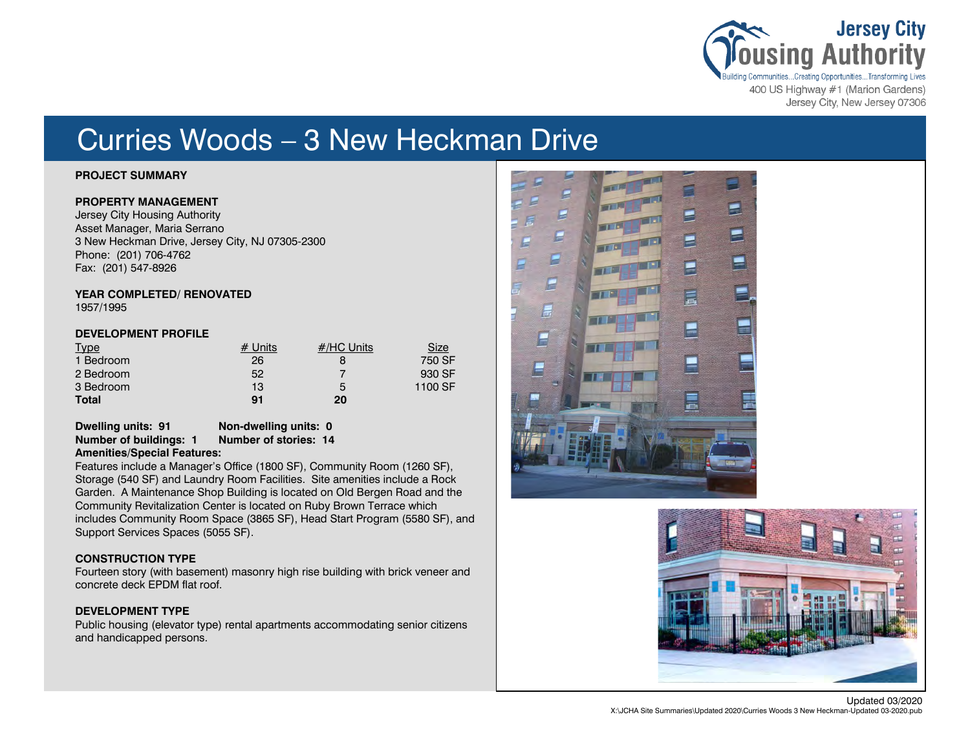

Jersey City, New Jersey 07306

# Curries Woods – 3 New Heckman Drive

# **PROJECT SUMMARY**

### **PROPERTY MANAGEMENT**

Jersey City Housing Authority Asset Manager, Maria Serrano 3 New Heckman Drive, Jersey City, NJ 07305-2300 Phone: (201) 706-4762 Fax: (201) 547-8926

#### **YEAR COMPLETED/ RENOVATED** 1957/1995

# **DEVELOPMENT PROFILE**

| <b>Type</b>  | # Units | $#$ /HC Units | <u>Size</u> |
|--------------|---------|---------------|-------------|
| 1 Bedroom    | 26      |               | 750 SF      |
| 2 Bedroom    | 52      |               | 930 SF      |
| 3 Bedroom    | 13      | 5             | 1100 SF     |
| <b>Total</b> | 91      | 20            |             |

# **Dwelling units: 91 Non-dwelling units: 0 Number of buildings: 1**

**Amenities/Special Features:**

Features include a Manager's Office (1800 SF), Community Room (1260 SF), Storage (540 SF) and Laundry Room Facilities. Site amenities include a Rock Garden. A Maintenance Shop Building is located on Old Bergen Road and the Community Revitalization Center is located on Ruby Brown Terrace which includes Community Room Space (3865 SF), Head Start Program (5580 SF), and Support Services Spaces (5055 SF).

# **CONSTRUCTION TYPE**

Fourteen story (with basement) masonry high rise building with brick veneer and concrete deck EPDM flat roof.

# **DEVELOPMENT TYPE**

Public housing (elevator type) rental apartments accommodating senior citizens and handicapped persons.



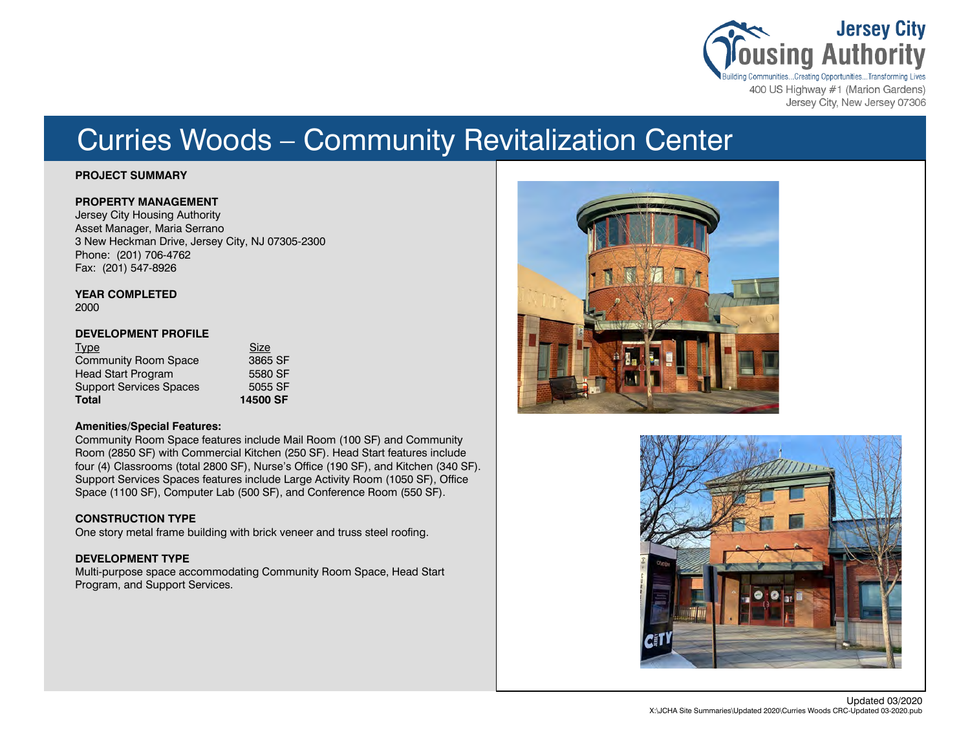

# Curries Woods – Community Revitalization Center

### **PROJECT SUMMARY**

### **PROPERTY MANAGEMENT**

Jersey City Housing Authority Asset Manager, Maria Serrano 3 New Heckman Drive, Jersey City, NJ 07305-2300 Phone: (201) 706-4762 Fax: (201) 547-8926

# **YEAR COMPLETED**

2000

# **DEVELOPMENT PROFILE**

| <b>Type</b><br><b>Community Room Space</b> | Size<br>3865 SF |
|--------------------------------------------|-----------------|
| <b>Head Start Program</b>                  | 5580 SF         |
|                                            | 5055 SF         |
| <b>Support Services Spaces</b>             |                 |
| <b>Total</b>                               | 14500 SF        |

# **Amenities/Special Features:**

Community Room Space features include Mail Room (100 SF) and Community Room (2850 SF) with Commercial Kitchen (250 SF). Head Start features include four (4) Classrooms (total 2800 SF), Nurse's Office (190 SF), and Kitchen (340 SF). Support Services Spaces features include Large Activity Room (1050 SF), Office Space (1100 SF), Computer Lab (500 SF), and Conference Room (550 SF).

# **CONSTRUCTION TYPE**

One story metal frame building with brick veneer and truss steel roofing.

# **DEVELOPMENT TYPE**

Multi-purpose space accommodating Community Room Space, Head Start Program, and Support Services.



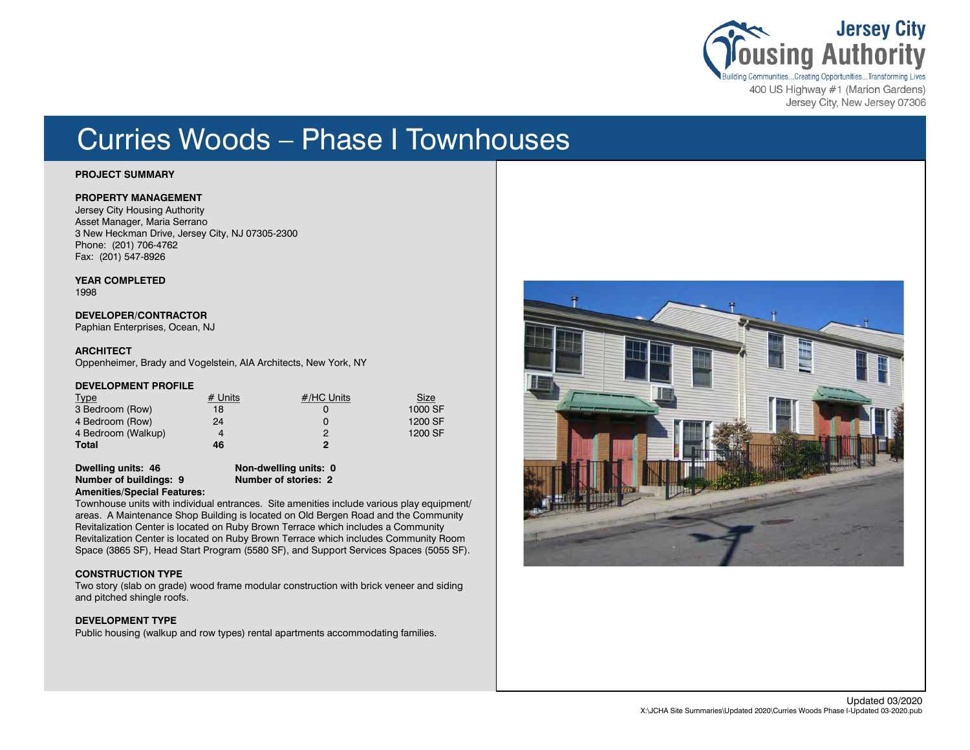

Jersey City, New Jersey 07306

# Curries Woods – Phase I Townhouses

#### **PROJECT SUMMARY**

### **PROPERTY MANAGEMENT**

Jersey City Housing Authority Asset Manager, Maria Serrano 3 New Heckman Drive, Jersey City, NJ 07305-2300 Phone: (201) 706-4762 Fax: (201) 547-8926

**YEAR COMPLETED**

1998

# **DEVELOPER/CONTRACTOR**

Paphian Enterprises, Ocean, NJ

### **ARCHITECT**

Oppenheimer, Brady and Vogelstein, AIA Architects, New York, NY

#### **DEVELOPMENT PROFILE**

| <b>Type</b>        | $#$ Units | #/HC Units | <b>Size</b> |
|--------------------|-----------|------------|-------------|
| 3 Bedroom (Row)    | 18        |            | 1000 SF     |
| 4 Bedroom (Row)    | 24        |            | 1200 SF     |
| 4 Bedroom (Walkup) |           |            | 1200 SF     |
| Total              | 46        | $\bullet$  |             |

**Dwelling units: 46 Non-dwelling units: 0 Number of buildings: 9 Number of stories: 2 Amenities/Special Features:**

Townhouse units with individual entrances. Site amenities include various play equipment/ areas. A Maintenance Shop Building is located on Old Bergen Road and the Community Revitalization Center is located on Ruby Brown Terrace which includes a Community Revitalization Center is located on Ruby Brown Terrace which includes Community Room Space (3865 SF), Head Start Program (5580 SF), and Support Services Spaces (5055 SF).

#### **CONSTRUCTION TYPE**

Two story (slab on grade) wood frame modular construction with brick veneer and siding and pitched shingle roofs.

#### **DEVELOPMENT TYPE**

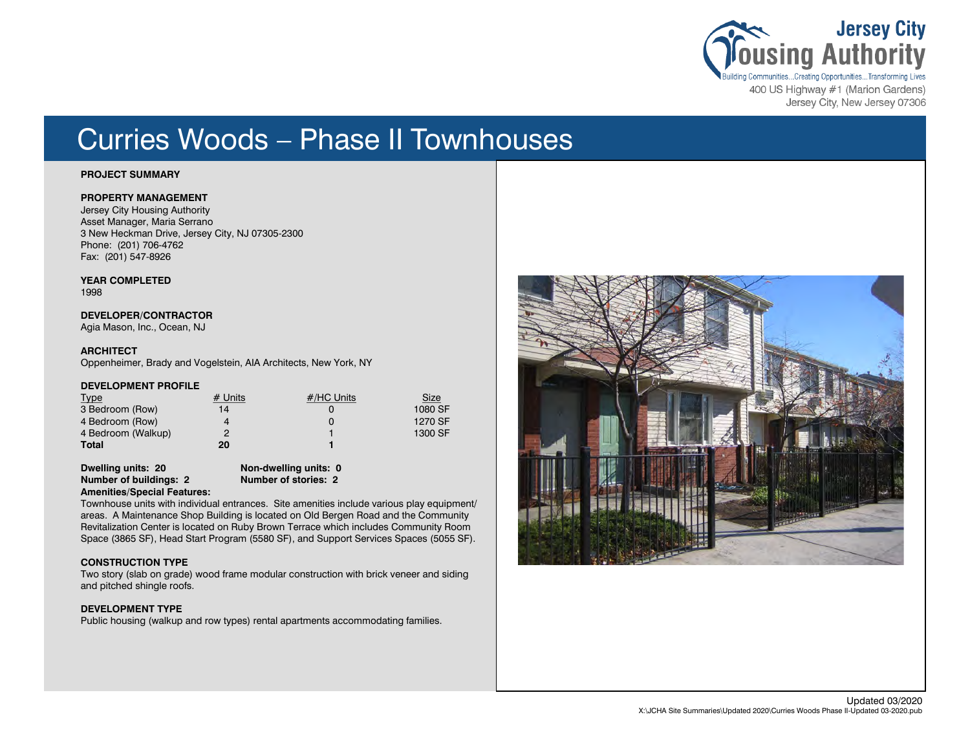

Jersey City, New Jersey 07306

# Curries Woods – Phase II Townhouses

#### **PROJECT SUMMARY**

### **PROPERTY MANAGEMENT**

Jersey City Housing Authority Asset Manager, Maria Serrano 3 New Heckman Drive, Jersey City, NJ 07305-2300 Phone: (201) 706-4762 Fax: (201) 547-8926

**YEAR COMPLETED**

1998

#### **DEVELOPER/CONTRACTOR**

Agia Mason, Inc., Ocean, NJ

#### **ARCHITECT**

Oppenheimer, Brady and Vogelstein, AIA Architects, New York, NY

#### **DEVELOPMENT PROFILE**

| <b>Type</b>        | $#$ Units | #/HC Units | <b>Size</b> |
|--------------------|-----------|------------|-------------|
| 3 Bedroom (Row)    | 14        |            | 1080 SF     |
| 4 Bedroom (Row)    |           |            | 1270 SF     |
| 4 Bedroom (Walkup) |           |            | 1300 SF     |
| Total              | 20        |            |             |

**Dwelling units: 20 Non-dwelling units: 0 Number of buildings: 2 Number of stories: 2 Amenities/Special Features:**

Townhouse units with individual entrances. Site amenities include various play equipment/ areas. A Maintenance Shop Building is located on Old Bergen Road and the Community Revitalization Center is located on Ruby Brown Terrace which includes Community Room Space (3865 SF), Head Start Program (5580 SF), and Support Services Spaces (5055 SF).

#### **CONSTRUCTION TYPE**

Two story (slab on grade) wood frame modular construction with brick veneer and siding and pitched shingle roofs.

#### **DEVELOPMENT TYPE**

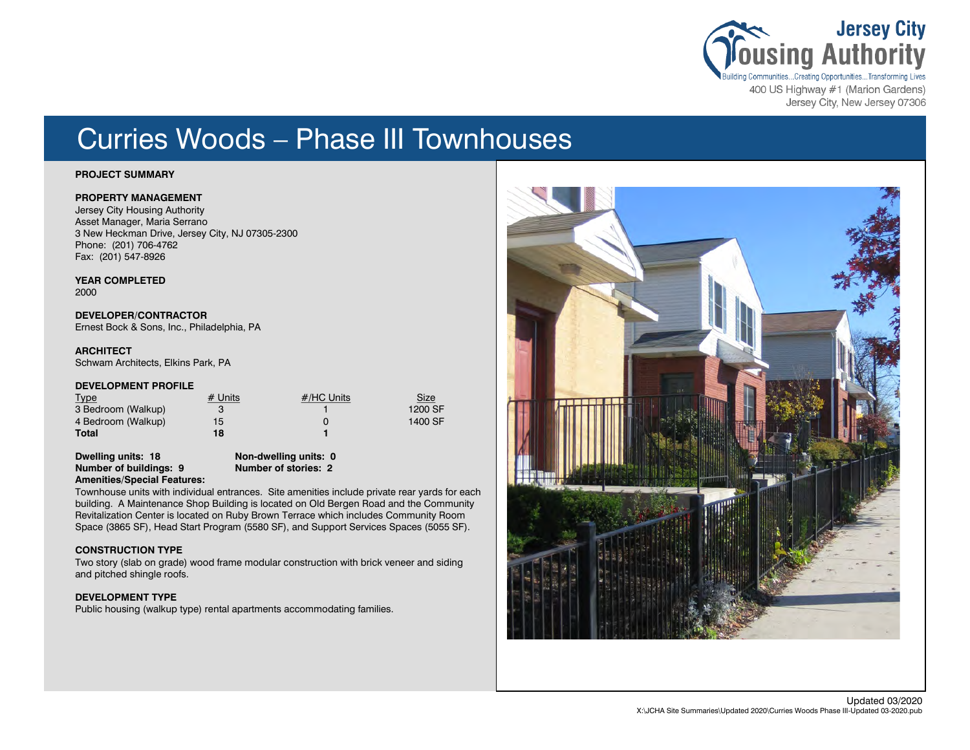

400 US Highway #1 (Marion Gardens) Jersey City, New Jersey 07306

# Curries Woods – Phase III Townhouses

#### **PROJECT SUMMARY**

### **PROPERTY MANAGEMENT**

Jersey City Housing Authority Asset Manager, Maria Serrano 3 New Heckman Drive, Jersey City, NJ 07305-2300 Phone: (201) 706-4762 Fax: (201) 547-8926

**YEAR COMPLETED** 2000

**DEVELOPER/CONTRACTOR** Ernest Bock & Sons, Inc., Philadelphia, PA

#### **ARCHITECT**

Schwam Architects, Elkins Park, PA

#### **DEVELOPMENT PROFILE**

| <b>Type</b>        | $#$ Units | #/HC Units | <u>Size</u> |
|--------------------|-----------|------------|-------------|
| 3 Bedroom (Walkup) |           |            | 1200 SF     |
| 4 Bedroom (Walkup) | 15.       |            | 1400 SF     |
| Total              | 18        |            |             |

**Dwelling units: 18 Non-dwelling units: 0 Number of buildings: 9 Number of stories: 2 Amenities/Special Features:**

Townhouse units with individual entrances. Site amenities include private rear yards for each building. A Maintenance Shop Building is located on Old Bergen Road and the Community Revitalization Center is located on Ruby Brown Terrace which includes Community Room Space (3865 SF), Head Start Program (5580 SF), and Support Services Spaces (5055 SF).

# **CONSTRUCTION TYPE**

Two story (slab on grade) wood frame modular construction with brick veneer and siding and pitched shingle roofs.

#### **DEVELOPMENT TYPE**

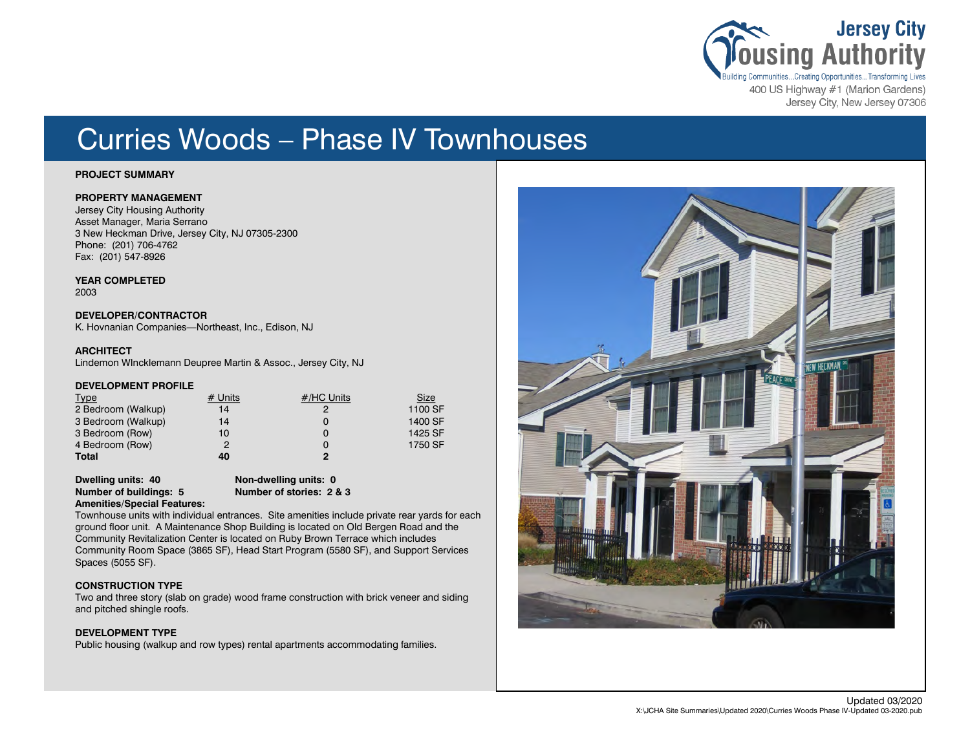

400 US Highway #1 (Marion Gardens) Jersey City, New Jersey 07306

# Curries Woods – Phase IV Townhouses

#### **PROJECT SUMMARY**

### **PROPERTY MANAGEMENT**

Jersey City Housing Authority Asset Manager, Maria Serrano 3 New Heckman Drive, Jersey City, NJ 07305-2300 Phone: (201) 706-4762 Fax: (201) 547-8926

**YEAR COMPLETED** 2003

**DEVELOPER/CONTRACTOR** K. Hovnanian Companies—Northeast, Inc., Edison, NJ

#### **ARCHITECT**

Lindemon WIncklemann Deupree Martin & Assoc., Jersey City, NJ

#### **DEVELOPMENT PROFILE**

| <b>Type</b>        | $#$ Units | #/HC Units   | <b>Size</b> |
|--------------------|-----------|--------------|-------------|
| 2 Bedroom (Walkup) | 14        | 2            | 1100 SF     |
| 3 Bedroom (Walkup) | 14        |              | 1400 SF     |
| 3 Bedroom (Row)    | 10        |              | 1425 SF     |
| 4 Bedroom (Row)    | 2         |              | 1750 SF     |
| Total              | 40        | $\mathbf{c}$ |             |

**Dwelling units: 40 Non-dwelling units: 0 Number of buildings: 5** 

### **Amenities/Special Features:**

Townhouse units with individual entrances. Site amenities include private rear yards for each ground floor unit. A Maintenance Shop Building is located on Old Bergen Road and the Community Revitalization Center is located on Ruby Brown Terrace which includes Community Room Space (3865 SF), Head Start Program (5580 SF), and Support Services Spaces (5055 SF).

#### **CONSTRUCTION TYPE**

Two and three story (slab on grade) wood frame construction with brick veneer and siding and pitched shingle roofs.

#### **DEVELOPMENT TYPE**